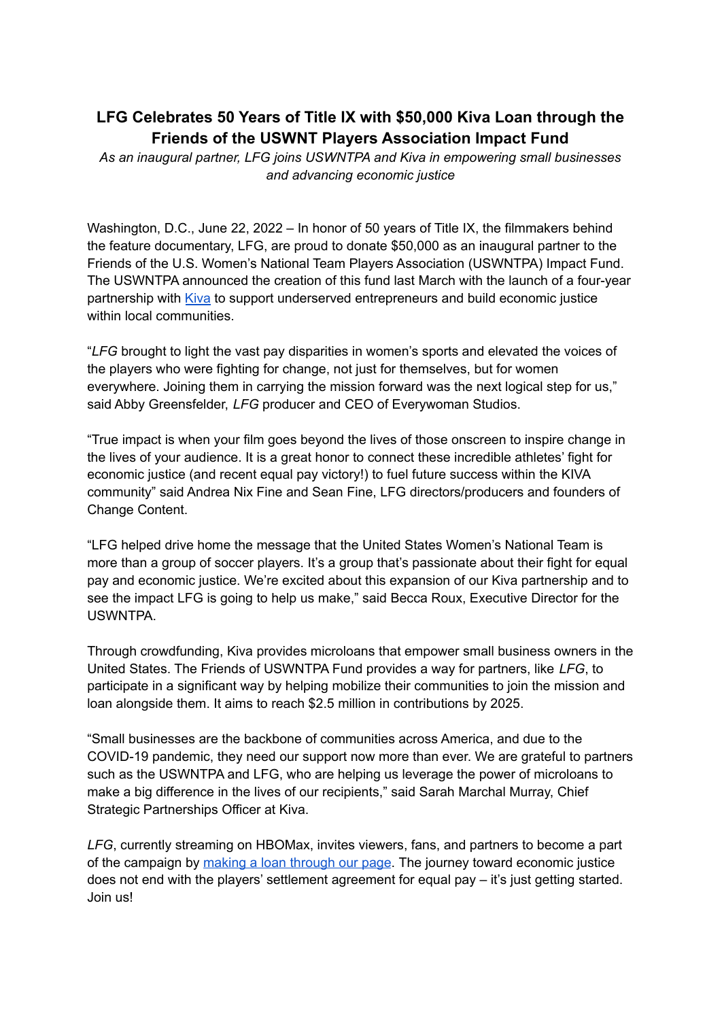## **LFG Celebrates 50 Years of Title IX with \$50,000 Kiva Loan through the Friends of the USWNT Players Association Impact Fund**

*As an inaugural partner, LFG joins USWNTPA and Kiva in empowering small businesses and advancing economic justice*

Washington, D.C., June 22, 2022 – In honor of 50 years of Title IX, the filmmakers behind the feature documentary, LFG, are proud to donate \$50,000 as an inaugural partner to the Friends of the U.S. Women's National Team Players Association (USWNTPA) Impact Fund. The USWNTPA announced the creation of this fund last March with the launch of a four-year partnership with [Kiva](https://www.google.com/search?q=kiva+website&oq=kiva+website&aqs=chrome..69i57j0i22i30l6j0i15i22i30j0i22i30.5070j0j1&sourceid=chrome&ie=UTF-8) to support underserved entrepreneurs and build economic justice within local communities.

"*LFG* brought to light the vast pay disparities in women's sports and elevated the voices of the players who were fighting for change, not just for themselves, but for women everywhere. Joining them in carrying the mission forward was the next logical step for us," said Abby Greensfelder, *LFG* producer and CEO of Everywoman Studios.

"True impact is when your film goes beyond the lives of those onscreen to inspire change in the lives of your audience. It is a great honor to connect these incredible athletes' fight for economic justice (and recent equal pay victory!) to fuel future success within the KIVA community" said Andrea Nix Fine and Sean Fine, LFG directors/producers and founders of Change Content.

"LFG helped drive home the message that the United States Women's National Team is more than a group of soccer players. It's a group that's passionate about their fight for equal pay and economic justice. We're excited about this expansion of our Kiva partnership and to see the impact LFG is going to help us make," said Becca Roux, Executive Director for the USWNTPA.

Through crowdfunding, Kiva provides microloans that empower small business owners in the United States. The Friends of USWNTPA Fund provides a way for partners, like *LFG*, to participate in a significant way by helping mobilize their communities to join the mission and loan alongside them. It aims to reach \$2.5 million in contributions by 2025.

"Small businesses are the backbone of communities across America, and due to the COVID-19 pandemic, they need our support now more than ever. We are grateful to partners such as the USWNTPA and LFG, who are helping us leverage the power of microloans to make a big difference in the lives of our recipients," said Sarah Marchal Murray, Chief Strategic Partnerships Officer at Kiva.

*LFG*, currently streaming on HBOMax, invites viewers, fans, and partners to become a part of the campaign by making a loan [through](http://groove.kiva.org/url/97a7xa045avev93rnucmf/aHR0cDovL2tpdmEub3JnL0xGRyNncm9vdmVzdW06LTQ0MDYxNjkzOA%3D%3D) our page. The journey toward economic justice does not end with the players' settlement agreement for equal pay – it's just getting started. Join us!